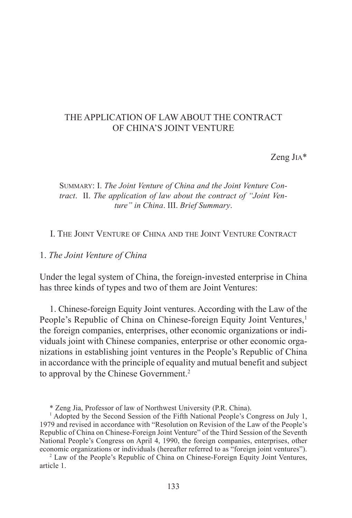# THE APPLICATION OF LAW ABOUT THE CONTRACT OF CHINA'S JOINT VENTURE

Zeng JIA\*

## SUMMARY: I. *The Joint Venture of China and the Joint Venture Contract*. II. *The application of law about the contract of "Joint Venture" in China*. III. *Brief Summary*.

## I. THE JOINT VENTURE OF CHINA AND THE JOINT VENTURE CONTRACT

## 1. *The Joint Venture of China*

Under the legal system of China, the foreign-invested enterprise in China has three kinds of types and two of them are Joint Ventures:

1. Chinese-foreign Equity Joint ventures. According with the Law of the People's Republic of China on Chinese-foreign Equity Joint Ventures,<sup>1</sup> the foreign companies, enterprises, other economic organizations or individuals joint with Chinese companies, enterprise or other economic organizations in establishing joint ventures in the People's Republic of China in accordance with the principle of equality and mutual benefit and subject to approval by the Chinese Government.<sup>2</sup>

\* Zeng Jia, Professor of law of Northwest University (P.R. China).

<sup>1</sup> Adopted by the Second Session of the Fifth National People's Congress on July 1, 1979 and revised in accordance with "Resolution on Revision of the Law of the People's Republic of China on Chinese-Foreign Joint Venture" of the Third Session of the Seventh National People's Congress on April 4, 1990, the foreign companies, enterprises, other economic organizations or individuals (hereafter referred to as "foreign joint ventures").

<sup>2</sup> Law of the People's Republic of China on Chinese-Foreign Equity Joint Ventures, article 1.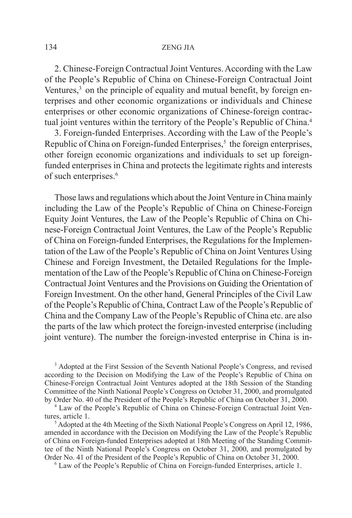2. Chinese-Foreign Contractual Joint Ventures. According with the Law of the People's Republic of China on Chinese-Foreign Contractual Joint Ventures, $3\overline{)}$  on the principle of equality and mutual benefit, by foreign enterprises and other economic organizations or individuals and Chinese enterprises or other economic organizations of Chinese-foreign contractual joint ventures within the territory of the People's Republic of China.<sup>4</sup>

3. Foreign-funded Enterprises. According with the Law of the People's Republic of China on Foreign-funded Enterprises, $5$  the foreign enterprises, other foreign economic organizations and individuals to set up foreignfunded enterprises in China and protects the legitimate rights and interests of such enterprises.<sup>6</sup>

Those laws and regulations which about the Joint Venture in China mainly including the Law of the People's Republic of China on Chinese-Foreign Equity Joint Ventures, the Law of the People's Republic of China on Chinese-Foreign Contractual Joint Ventures, the Law of the People's Republic of China on Foreign-funded Enterprises, the Regulations for the Implementation of the Law of the People's Republic of China on Joint Ventures Using Chinese and Foreign Investment, the Detailed Regulations for the Implementation of the Law of the People's Republic of China on Chinese-Foreign Contractual Joint Ventures and the Provisions on Guiding the Orientation of Foreign Investment. On the other hand, General Principles of the Civil Law of the People's Republic of China, Contract Law of the People's Republic of China and the Company Law of the People's Republic of China etc. are also the parts of the law which protect the foreign-invested enterprise (including joint venture). The number the foreign-invested enterprise in China is in-

<sup>3</sup> Adopted at the First Session of the Seventh National People's Congress, and revised according to the Decision on Modifying the Law of the People's Republic of China on Chinese-Foreign Contractual Joint Ventures adopted at the 18th Session of the Standing Committee of the Ninth National People's Congress on October 31, 2000, and promulgated by Order No. 40 of the President of the People's Republic of China on October 31, 2000.

<sup>4</sup> Law of the People's Republic of China on Chinese-Foreign Contractual Joint Ventures, article 1.

<sup>5</sup> Adopted at the 4th Meeting of the Sixth National People's Congress on April 12, 1986, amended in accordance with the Decision on Modifying the Law of the People's Republic of China on Foreign-funded Enterprises adopted at 18th Meeting of the Standing Committee of the Ninth National People's Congress on October 31, 2000, and promulgated by Order No. 41 of the President of the People's Republic of China on October 31, 2000.

6 Law of the People's Republic of China on Foreign-funded Enterprises, article 1.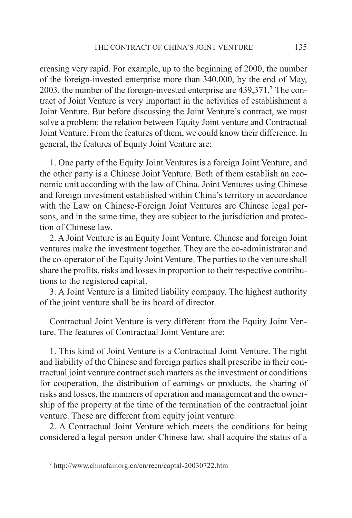creasing very rapid. For example, up to the beginning of 2000, the number of the foreign-invested enterprise more than 340,000, by the end of May, 2003, the number of the foreign-invested enterprise are 439,371.7 The contract of Joint Venture is very important in the activities of establishment a Joint Venture. But before discussing the Joint Venture's contract, we must solve a problem: the relation between Equity Joint venture and Contractual Joint Venture. From the features of them, we could know their difference. In general, the features of Equity Joint Venture are:

1. One party of the Equity Joint Ventures is a foreign Joint Venture, and the other party is a Chinese Joint Venture. Both of them establish an economic unit according with the law of China. Joint Ventures using Chinese and foreign investment established within China's territory in accordance with the Law on Chinese-Foreign Joint Ventures are Chinese legal persons, and in the same time, they are subject to the jurisdiction and protection of Chinese law.

2. A Joint Venture is an Equity Joint Venture. Chinese and foreign Joint ventures make the investment together. They are the co-administrator and the co-operator of the Equity Joint Venture. The parties to the venture shall share the profits, risks and losses in proportion to their respective contributions to the registered capital.

3. A Joint Venture is a limited liability company. The highest authority of the joint venture shall be its board of director.

Contractual Joint Venture is very different from the Equity Joint Venture. The features of Contractual Joint Venture are:

1. This kind of Joint Venture is a Contractual Joint Venture. The right and liability of the Chinese and foreign parties shall prescribe in their contractual joint venture contract such matters as the investment or conditions for cooperation, the distribution of earnings or products, the sharing of risks and losses, the manners of operation and management and the ownership of the property at the time of the termination of the contractual joint venture. These are different from equity joint venture.

2. A Contractual Joint Venture which meets the conditions for being considered a legal person under Chinese law, shall acquire the status of a

<sup>7</sup> http://www.chinafair.org.cn/cn/recn/captal-20030722.htm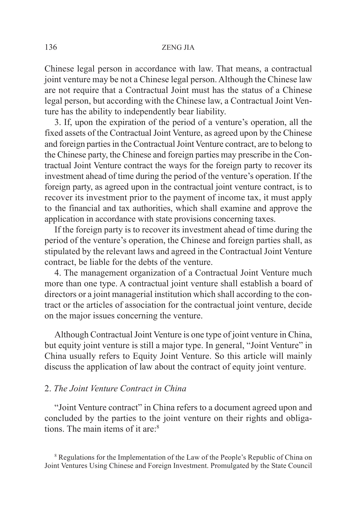Chinese legal person in accordance with law. That means, a contractual joint venture may be not a Chinese legal person. Although the Chinese law are not require that a Contractual Joint must has the status of a Chinese legal person, but according with the Chinese law, a Contractual Joint Venture has the ability to independently bear liability.

3. If, upon the expiration of the period of a venture's operation, all the fixed assets of the Contractual Joint Venture, as agreed upon by the Chinese and foreign parties in the Contractual Joint Venture contract, are to belong to the Chinese party, the Chinese and foreign parties may prescribe in the Contractual Joint Venture contract the ways for the foreign party to recover its investment ahead of time during the period of the venture's operation. If the foreign party, as agreed upon in the contractual joint venture contract, is to recover its investment prior to the payment of income tax, it must apply to the financial and tax authorities, which shall examine and approve the application in accordance with state provisions concerning taxes.

If the foreign party is to recover its investment ahead of time during the period of the venture's operation, the Chinese and foreign parties shall, as stipulated by the relevant laws and agreed in the Contractual Joint Venture contract, be liable for the debts of the venture.

4. The management organization of a Contractual Joint Venture much more than one type. A contractual joint venture shall establish a board of directors or a joint managerial institution which shall according to the contract or the articles of association for the contractual joint venture, decide on the major issues concerning the venture.

Although Contractual Joint Venture is one type of joint venture in China, but equity joint venture is still a major type. In general, "Joint Venture" in China usually refers to Equity Joint Venture. So this article will mainly discuss the application of law about the contract of equity joint venture.

## 2. *The Joint Venture Contract in China*

"Joint Venture contract" in China refers to a document agreed upon and concluded by the parties to the joint venture on their rights and obligations. The main items of it are<sup>8</sup>

<sup>8</sup> Regulations for the Implementation of the Law of the People's Republic of China on Joint Ventures Using Chinese and Foreign Investment. Promulgated by the State Council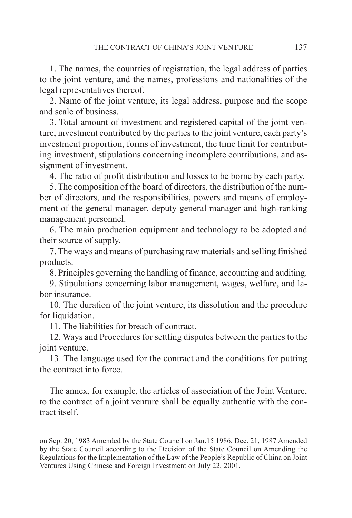1. The names, the countries of registration, the legal address of parties to the joint venture, and the names, professions and nationalities of the legal representatives thereof.

2. Name of the joint venture, its legal address, purpose and the scope and scale of business.

3. Total amount of investment and registered capital of the joint venture, investment contributed by the parties to the joint venture, each party's investment proportion, forms of investment, the time limit for contributing investment, stipulations concerning incomplete contributions, and assignment of investment.

4. The ratio of profit distribution and losses to be borne by each party.

5. The composition of the board of directors, the distribution of the number of directors, and the responsibilities, powers and means of employment of the general manager, deputy general manager and high-ranking management personnel.

6. The main production equipment and technology to be adopted and their source of supply.

7. The ways and means of purchasing raw materials and selling finished products.

8. Principles governing the handling of finance, accounting and auditing.

9. Stipulations concerning labor management, wages, welfare, and labor insurance.

10. The duration of the joint venture, its dissolution and the procedure for liquidation.

11. The liabilities for breach of contract.

12. Ways and Procedures for settling disputes between the parties to the joint venture.

13. The language used for the contract and the conditions for putting the contract into force.

The annex, for example, the articles of association of the Joint Venture, to the contract of a joint venture shall be equally authentic with the contract itself.

on Sep. 20, 1983 Amended by the State Council on Jan.15 1986, Dec. 21, 1987 Amended by the State Council according to the Decision of the State Council on Amending the Regulations for the Implementation of the Law of the People's Republic of China on Joint Ventures Using Chinese and Foreign Investment on July 22, 2001.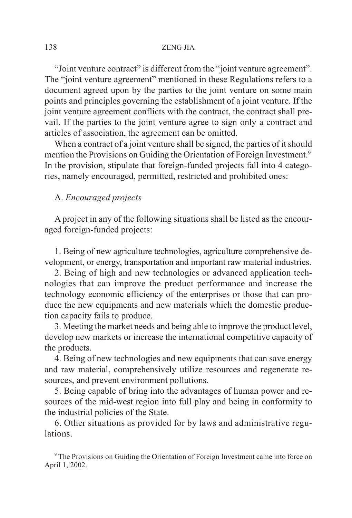"Joint venture contract" is different from the "joint venture agreement". The "joint venture agreement" mentioned in these Regulations refers to a document agreed upon by the parties to the joint venture on some main points and principles governing the establishment of a joint venture. If the joint venture agreement conflicts with the contract, the contract shall prevail. If the parties to the joint venture agree to sign only a contract and articles of association, the agreement can be omitted.

When a contract of a joint venture shall be signed, the parties of it should mention the Provisions on Guiding the Orientation of Foreign Investment.9 In the provision, stipulate that foreign-funded projects fall into 4 categories, namely encouraged, permitted, restricted and prohibited ones:

# A. *Encouraged projects*

A project in any of the following situations shall be listed as the encouraged foreign-funded projects:

1. Being of new agriculture technologies, agriculture comprehensive development, or energy, transportation and important raw material industries.

2. Being of high and new technologies or advanced application technologies that can improve the product performance and increase the technology economic efficiency of the enterprises or those that can produce the new equipments and new materials which the domestic production capacity fails to produce.

3. Meeting the market needs and being able to improve the product level, develop new markets or increase the international competitive capacity of the products.

4. Being of new technologies and new equipments that can save energy and raw material, comprehensively utilize resources and regenerate resources, and prevent environment pollutions.

5. Being capable of bring into the advantages of human power and resources of the mid-west region into full play and being in conformity to the industrial policies of the State.

6. Other situations as provided for by laws and administrative regu**lations** 

<sup>9</sup> The Provisions on Guiding the Orientation of Foreign Investment came into force on April 1, 2002.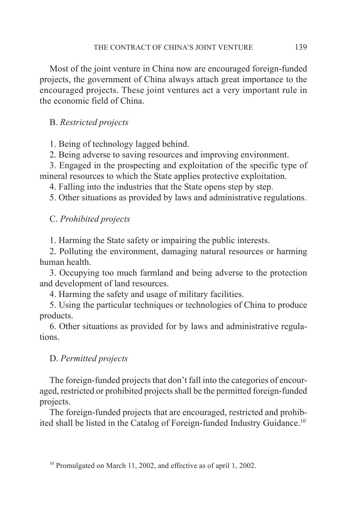Most of the joint venture in China now are encouraged foreign-funded projects, the government of China always attach great importance to the encouraged projects. These joint ventures act a very important rule in the economic field of China.

# B. *Restricted projects*

1. Being of technology lagged behind.

2. Being adverse to saving resources and improving environment.

3. Engaged in the prospecting and exploitation of the specific type of mineral resources to which the State applies protective exploitation.

4. Falling into the industries that the State opens step by step.

5. Other situations as provided by laws and administrative regulations.

C. *Prohibited projects*

1. Harming the State safety or impairing the public interests.

2. Polluting the environment, damaging natural resources or harming human health.

3. Occupying too much farmland and being adverse to the protection and development of land resources.

4. Harming the safety and usage of military facilities.

5. Using the particular techniques or technologies of China to produce products.

6. Other situations as provided for by laws and administrative regulations.

# D. *Permitted projects*

The foreign-funded projects that don't fall into the categories of encouraged, restricted or prohibited projects shall be the permitted foreign-funded projects.

The foreign-funded projects that are encouraged, restricted and prohibited shall be listed in the Catalog of Foreign-funded Industry Guidance.10

<sup>10</sup> Promulgated on March 11, 2002, and effective as of april 1, 2002.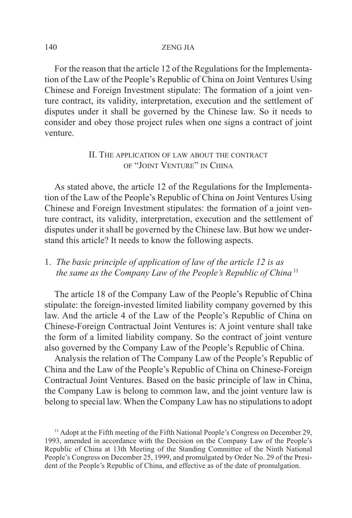For the reason that the article 12 of the Regulations for the Implementation of the Law of the People's Republic of China on Joint Ventures Using Chinese and Foreign Investment stipulate: The formation of a joint venture contract, its validity, interpretation, execution and the settlement of disputes under it shall be governed by the Chinese law. So it needs to consider and obey those project rules when one signs a contract of joint venture.

# II. THE APPLICATION OF LAW ABOUT THE CONTRACT OF "JOINT VENTURE" IN CHINA

As stated above, the article 12 of the Regulations for the Implementation of the Law of the People's Republic of China on Joint Ventures Using Chinese and Foreign Investment stipulates: the formation of a joint venture contract, its validity, interpretation, execution and the settlement of disputes under it shall be governed by the Chinese law. But how we understand this article? It needs to know the following aspects.

# 1. *The basic principle of application of law of the article 12 is as the same as the Company Law of the People's Republic of China* <sup>11</sup>

The article 18 of the Company Law of the People's Republic of China stipulate: the foreign-invested limited liability company governed by this law. And the article 4 of the Law of the People's Republic of China on Chinese-Foreign Contractual Joint Ventures is: A joint venture shall take the form of a limited liability company. So the contract of joint venture also governed by the Company Law of the People's Republic of China.

Analysis the relation of The Company Law of the People's Republic of China and the Law of the People's Republic of China on Chinese-Foreign Contractual Joint Ventures. Based on the basic principle of law in China, the Company Law is belong to common law, and the joint venture law is belong to special law. When the Company Law has no stipulations to adopt

<sup>&</sup>lt;sup>11</sup> Adopt at the Fifth meeting of the Fifth National People's Congress on December 29, 1993, amended in accordance with the Decision on the Company Law of the People's Republic of China at 13th Meeting of the Standing Committee of the Ninth National People's Congress on December 25, 1999, and promulgated by Order No. 29 of the President of the People's Republic of China, and effective as of the date of promulgation.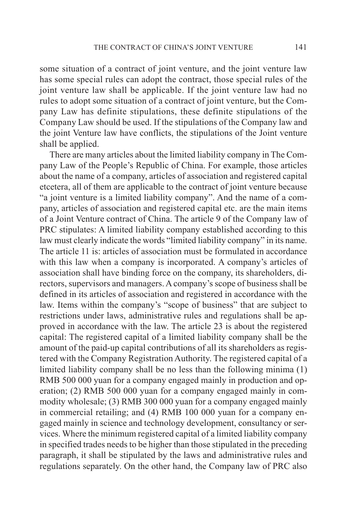some situation of a contract of joint venture, and the joint venture law has some special rules can adopt the contract, those special rules of the joint venture law shall be applicable. If the joint venture law had no rules to adopt some situation of a contract of joint venture, but the Company Law has definite stipulations, these definite stipulations of the Company Law should be used. If the stipulations of the Company law and the joint Venture law have conflicts, the stipulations of the Joint venture shall be applied.

There are many articles about the limited liability company in The Company Law of the People's Republic of China. For example, those articles about the name of a company, articles of association and registered capital etcetera, all of them are applicable to the contract of joint venture because "a joint venture is a limited liability company". And the name of a company, articles of association and registered capital etc. are the main items of a Joint Venture contract of China. The article 9 of the Company law of PRC stipulates: A limited liability company established according to this law must clearly indicate the words "limited liability company" in its name. The article 11 is: articles of association must be formulated in accordance with this law when a company is incorporated. A company's articles of association shall have binding force on the company, its shareholders, directors, supervisors and managers. A company's scope of business shall be defined in its articles of association and registered in accordance with the law. Items within the company's "scope of business" that are subject to restrictions under laws, administrative rules and regulations shall be approved in accordance with the law. The article 23 is about the registered capital: The registered capital of a limited liability company shall be the amount of the paid-up capital contributions of all its shareholders as registered with the Company Registration Authority. The registered capital of a limited liability company shall be no less than the following minima (1) RMB 500 000 yuan for a company engaged mainly in production and operation; (2) RMB 500 000 yuan for a company engaged mainly in commodity wholesale; (3) RMB 300 000 yuan for a company engaged mainly in commercial retailing; and (4) RMB 100 000 yuan for a company engaged mainly in science and technology development, consultancy or services. Where the minimum registered capital of a limited liability company in specified trades needs to be higher than those stipulated in the preceding paragraph, it shall be stipulated by the laws and administrative rules and regulations separately. On the other hand, the Company law of PRC also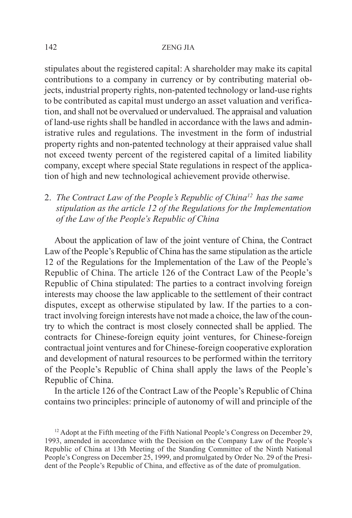stipulates about the registered capital: A shareholder may make its capital contributions to a company in currency or by contributing material objects, industrial property rights, non-patented technology or land-use rights to be contributed as capital must undergo an asset valuation and verification, and shall not be overvalued or undervalued. The appraisal and valuation of land-use rights shall be handled in accordance with the laws and administrative rules and regulations. The investment in the form of industrial property rights and non-patented technology at their appraised value shall not exceed twenty percent of the registered capital of a limited liability company, except where special State regulations in respect of the application of high and new technological achievement provide otherwise.

2. *The Contract Law of the People's Republic of China12 has the same stipulation as the article 12 of the Regulations for the Implementation of the Law of the People's Republic of China*

About the application of law of the joint venture of China, the Contract Law of the People's Republic of China has the same stipulation as the article 12 of the Regulations for the Implementation of the Law of the People's Republic of China. The article 126 of the Contract Law of the People's Republic of China stipulated: The parties to a contract involving foreign interests may choose the law applicable to the settlement of their contract disputes, except as otherwise stipulated by law. If the parties to a contract involving foreign interests have not made a choice, the law of the country to which the contract is most closely connected shall be applied. The contracts for Chinese-foreign equity joint ventures, for Chinese-foreign contractual joint ventures and for Chinese-foreign cooperative exploration and development of natural resources to be performed within the territory of the People's Republic of China shall apply the laws of the People's Republic of China.

In the article 126 of the Contract Law of the People's Republic of China contains two principles: principle of autonomy of will and principle of the

<sup>&</sup>lt;sup>12</sup> Adopt at the Fifth meeting of the Fifth National People's Congress on December 29, 1993, amended in accordance with the Decision on the Company Law of the People's Republic of China at 13th Meeting of the Standing Committee of the Ninth National People's Congress on December 25, 1999, and promulgated by Order No. 29 of the President of the People's Republic of China, and effective as of the date of promulgation.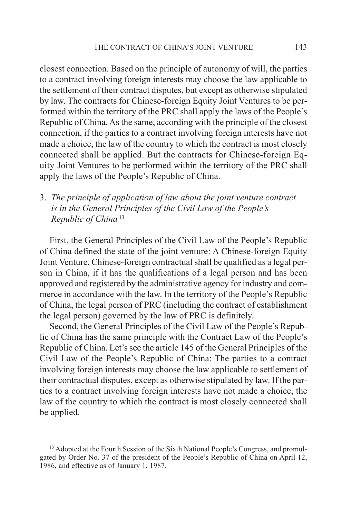closest connection. Based on the principle of autonomy of will, the parties to a contract involving foreign interests may choose the law applicable to the settlement of their contract disputes, but except as otherwise stipulated by law. The contracts for Chinese-foreign Equity Joint Ventures to be performed within the territory of the PRC shall apply the laws of the People's Republic of China. As the same, according with the principle of the closest connection, if the parties to a contract involving foreign interests have not made a choice, the law of the country to which the contract is most closely connected shall be applied. But the contracts for Chinese-foreign Equity Joint Ventures to be performed within the territory of the PRC shall apply the laws of the People's Republic of China.

3. *The principle of application of law about the joint venture contract is in the General Principles of the Civil Law of the People's Republic of China* <sup>13</sup>

First, the General Principles of the Civil Law of the People's Republic of China defined the state of the joint venture: A Chinese-foreign Equity Joint Venture, Chinese-foreign contractual shall be qualified as a legal person in China, if it has the qualifications of a legal person and has been approved and registered by the administrative agency for industry and commerce in accordance with the law. In the territory of the People's Republic of China, the legal person of PRC (including the contract of establishment the legal person) governed by the law of PRC is definitely.

Second, the General Principles of the Civil Law of the People's Republic of China has the same principle with the Contract Law of the People's Republic of China. Let's see the article 145 of the General Principles of the Civil Law of the People's Republic of China: The parties to a contract involving foreign interests may choose the law applicable to settlement of their contractual disputes, except as otherwise stipulated by law. If the parties to a contract involving foreign interests have not made a choice, the law of the country to which the contract is most closely connected shall be applied.

<sup>&</sup>lt;sup>13</sup> Adopted at the Fourth Session of the Sixth National People's Congress, and promulgated by Order No. 37 of the president of the People's Republic of China on April 12, 1986, and effective as of January 1, 1987.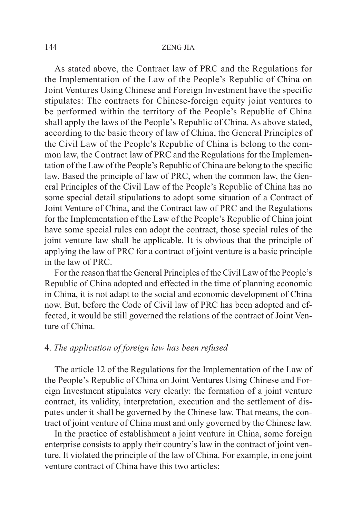As stated above, the Contract law of PRC and the Regulations for the Implementation of the Law of the People's Republic of China on Joint Ventures Using Chinese and Foreign Investment have the specific stipulates: The contracts for Chinese-foreign equity joint ventures to be performed within the territory of the People's Republic of China shall apply the laws of the People's Republic of China. As above stated, according to the basic theory of law of China, the General Principles of the Civil Law of the People's Republic of China is belong to the common law, the Contract law of PRC and the Regulations for the Implementation of the Law of the People's Republic of China are belong to the specific law. Based the principle of law of PRC, when the common law, the General Principles of the Civil Law of the People's Republic of China has no some special detail stipulations to adopt some situation of a Contract of Joint Venture of China, and the Contract law of PRC and the Regulations for the Implementation of the Law of the People's Republic of China joint have some special rules can adopt the contract, those special rules of the joint venture law shall be applicable. It is obvious that the principle of applying the law of PRC for a contract of joint venture is a basic principle in the law of PRC.

For the reason that the General Principles of the Civil Law of the People's Republic of China adopted and effected in the time of planning economic in China, it is not adapt to the social and economic development of China now. But, before the Code of Civil law of PRC has been adopted and effected, it would be still governed the relations of the contract of Joint Venture of China.

## 4. *The application of foreign law has been refused*

The article 12 of the Regulations for the Implementation of the Law of the People's Republic of China on Joint Ventures Using Chinese and Foreign Investment stipulates very clearly: the formation of a joint venture contract, its validity, interpretation, execution and the settlement of disputes under it shall be governed by the Chinese law. That means, the contract of joint venture of China must and only governed by the Chinese law.

In the practice of establishment a joint venture in China, some foreign enterprise consists to apply their country's law in the contract of joint venture. It violated the principle of the law of China. For example, in one joint venture contract of China have this two articles: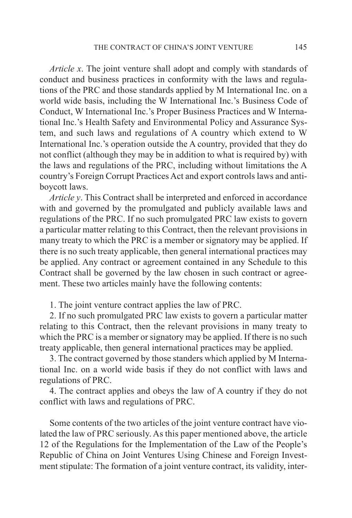*Article x*. The joint venture shall adopt and comply with standards of conduct and business practices in conformity with the laws and regulations of the PRC and those standards applied by M International Inc. on a world wide basis, including the W International Inc.'s Business Code of Conduct, W International Inc.'s Proper Business Practices and W International Inc.'s Health Safety and Environmental Policy and Assurance System, and such laws and regulations of A country which extend to W International Inc.'s operation outside the A country, provided that they do not conflict (although they may be in addition to what is required by) with the laws and regulations of the PRC, including without limitations the A country's Foreign Corrupt Practices Act and export controls laws and antiboycott laws.

*Article y*. This Contract shall be interpreted and enforced in accordance with and governed by the promulgated and publicly available laws and regulations of the PRC. If no such promulgated PRC law exists to govern a particular matter relating to this Contract, then the relevant provisions in many treaty to which the PRC is a member or signatory may be applied. If there is no such treaty applicable, then general international practices may be applied. Any contract or agreement contained in any Schedule to this Contract shall be governed by the law chosen in such contract or agreement. These two articles mainly have the following contents:

1. The joint venture contract applies the law of PRC.

2. If no such promulgated PRC law exists to govern a particular matter relating to this Contract, then the relevant provisions in many treaty to which the PRC is a member or signatory may be applied. If there is no such treaty applicable, then general international practices may be applied.

3. The contract governed by those standers which applied by M International Inc. on a world wide basis if they do not conflict with laws and regulations of PRC.

4. The contract applies and obeys the law of A country if they do not conflict with laws and regulations of PRC.

Some contents of the two articles of the joint venture contract have violated the law of PRC seriously. As this paper mentioned above, the article 12 of the Regulations for the Implementation of the Law of the People's Republic of China on Joint Ventures Using Chinese and Foreign Investment stipulate: The formation of a joint venture contract, its validity, inter-